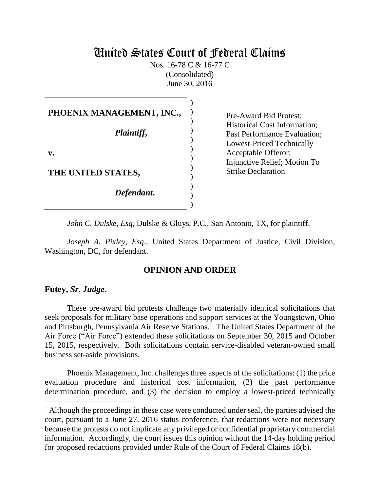# United States Court of Federal Claims

Nos. 16-78 C & 16-77 C (Consolidated) June 30, 2016

| PHOENIX MANAGEMENT, INC., |  |
|---------------------------|--|
| Plaintiff,                |  |
| V.                        |  |
| THE UNITED STATES,        |  |
| Defendant.                |  |
|                           |  |

Pre-Award Bid Protest; Historical Cost Information; Past Performance Evaluation; Lowest-Priced Technically Acceptable Offeror; Injunctive Relief; Motion To Strike Declaration

*John C. Dulske, Esq*, Dulske & Gluys, P.C., San Antonio, TX, for plaintiff.

*Joseph A. Pixley, Esq*., United States Department of Justice, Civil Division, Washington, DC, for defendant.

### **OPINION AND ORDER**

#### **Futey,** *Sr. Judge***.**

These pre-award bid protests challenge two materially identical solicitations that seek proposals for military base operations and support services at the Youngstown, Ohio and Pittsburgh, Pennsylvania Air Reserve Stations.<sup>1</sup> The United States Department of the Air Force ("Air Force") extended these solicitations on September 30, 2015 and October 15, 2015, respectively. Both solicitations contain service-disabled veteran-owned small business set-aside provisions.

 Phoenix Management, Inc. challenges three aspects of the solicitations: (1) the price evaluation procedure and historical cost information, (2) the past performance determination procedure, and (3) the decision to employ a lowest-priced technically

 $<sup>1</sup>$  Although the proceedings in these case were conducted under seal, the parties advised the</sup> court, pursuant to a June 27, 2016 status conference, that redactions were not necessary because the protests do not implicate any privileged or confidential proprietary commercial information. Accordingly, the court issues this opinion without the 14-day holding period for proposed redactions provided under Rule of the Court of Federal Claims 18(b).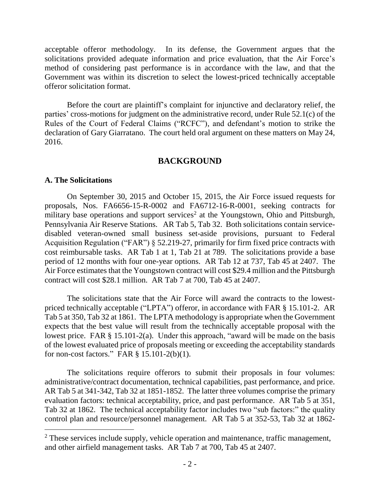acceptable offeror methodology. In its defense, the Government argues that the solicitations provided adequate information and price evaluation, that the Air Force's method of considering past performance is in accordance with the law, and that the Government was within its discretion to select the lowest-priced technically acceptable offeror solicitation format.

 Before the court are plaintiff's complaint for injunctive and declaratory relief, the parties' cross-motions for judgment on the administrative record, under Rule 52.1(c) of the Rules of the Court of Federal Claims ("RCFC"), and defendant's motion to strike the declaration of Gary Giarratano. The court held oral argument on these matters on May 24, 2016.

### **BACKGROUND**

### **A. The Solicitations**

 $\overline{a}$ 

On September 30, 2015 and October 15, 2015, the Air Force issued requests for proposals, Nos. FA6656-15-R-0002 and FA6712-16-R-0001, seeking contracts for military base operations and support services<sup>2</sup> at the Youngstown, Ohio and Pittsburgh, Pennsylvania Air Reserve Stations. AR Tab 5, Tab 32. Both solicitations contain servicedisabled veteran-owned small business set-aside provisions, pursuant to Federal Acquisition Regulation ("FAR") § 52.219-27, primarily for firm fixed price contracts with cost reimbursable tasks. AR Tab 1 at 1, Tab 21 at 789. The solicitations provide a base period of 12 months with four one-year options. AR Tab 12 at 737, Tab 45 at 2407. The Air Force estimates that the Youngstown contract will cost \$29.4 million and the Pittsburgh contract will cost \$28.1 million. AR Tab 7 at 700, Tab 45 at 2407.

The solicitations state that the Air Force will award the contracts to the lowestpriced technically acceptable ("LPTA") offeror, in accordance with FAR § 15.101-2. AR Tab 5 at 350, Tab 32 at 1861. The LPTA methodology is appropriate when the Government expects that the best value will result from the technically acceptable proposal with the lowest price. FAR § 15.101-2(a). Under this approach, "award will be made on the basis of the lowest evaluated price of proposals meeting or exceeding the acceptability standards for non-cost factors." FAR § 15.101-2(b)(1).

The solicitations require offerors to submit their proposals in four volumes: administrative/contract documentation, technical capabilities, past performance, and price. AR Tab 5 at 341-342, Tab 32 at 1851-1852. The latter three volumes comprise the primary evaluation factors: technical acceptability, price, and past performance. AR Tab 5 at 351, Tab 32 at 1862. The technical acceptability factor includes two "sub factors:" the quality control plan and resource/personnel management. AR Tab 5 at 352-53, Tab 32 at 1862-

<sup>&</sup>lt;sup>2</sup> These services include supply, vehicle operation and maintenance, traffic management, and other airfield management tasks. AR Tab 7 at 700, Tab 45 at 2407.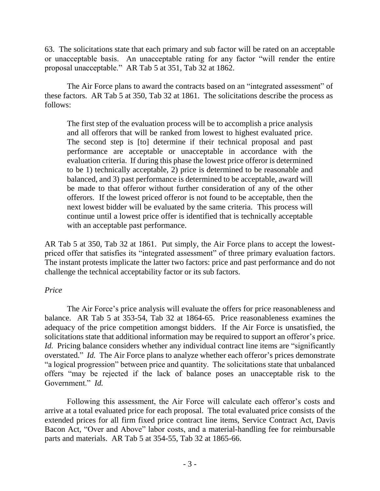63. The solicitations state that each primary and sub factor will be rated on an acceptable or unacceptable basis. An unacceptable rating for any factor "will render the entire proposal unacceptable." AR Tab 5 at 351, Tab 32 at 1862.

The Air Force plans to award the contracts based on an "integrated assessment" of these factors. AR Tab 5 at 350, Tab 32 at 1861. The solicitations describe the process as follows:

The first step of the evaluation process will be to accomplish a price analysis and all offerors that will be ranked from lowest to highest evaluated price. The second step is [to] determine if their technical proposal and past performance are acceptable or unacceptable in accordance with the evaluation criteria. If during this phase the lowest price offeror is determined to be 1) technically acceptable, 2) price is determined to be reasonable and balanced, and 3) past performance is determined to be acceptable, award will be made to that offeror without further consideration of any of the other offerors. If the lowest priced offeror is not found to be acceptable, then the next lowest bidder will be evaluated by the same criteria. This process will continue until a lowest price offer is identified that is technically acceptable with an acceptable past performance.

AR Tab 5 at 350, Tab 32 at 1861. Put simply, the Air Force plans to accept the lowestpriced offer that satisfies its "integrated assessment" of three primary evaluation factors. The instant protests implicate the latter two factors: price and past performance and do not challenge the technical acceptability factor or its sub factors.

### *Price*

The Air Force's price analysis will evaluate the offers for price reasonableness and balance. AR Tab 5 at 353-54, Tab 32 at 1864-65. Price reasonableness examines the adequacy of the price competition amongst bidders. If the Air Force is unsatisfied, the solicitations state that additional information may be required to support an offeror's price. *Id.* Pricing balance considers whether any individual contract line items are "significantly overstated." *Id.* The Air Force plans to analyze whether each offeror's prices demonstrate "a logical progression" between price and quantity. The solicitations state that unbalanced offers "may be rejected if the lack of balance poses an unacceptable risk to the Government." *Id.*

Following this assessment, the Air Force will calculate each offeror's costs and arrive at a total evaluated price for each proposal. The total evaluated price consists of the extended prices for all firm fixed price contract line items, Service Contract Act, Davis Bacon Act, "Over and Above" labor costs, and a material-handling fee for reimbursable parts and materials. AR Tab 5 at 354-55, Tab 32 at 1865-66.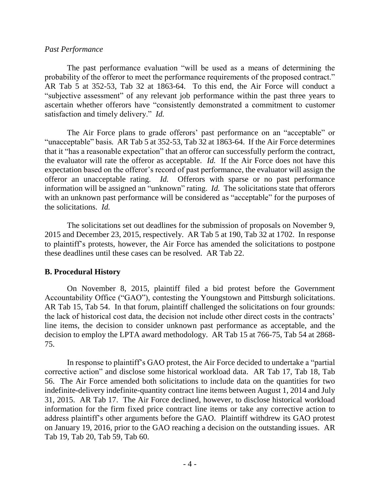### *Past Performance*

 The past performance evaluation "will be used as a means of determining the probability of the offeror to meet the performance requirements of the proposed contract." AR Tab 5 at 352-53, Tab 32 at 1863-64. To this end, the Air Force will conduct a "subjective assessment" of any relevant job performance within the past three years to ascertain whether offerors have "consistently demonstrated a commitment to customer satisfaction and timely delivery." *Id.*

The Air Force plans to grade offerors' past performance on an "acceptable" or "unacceptable" basis*.* AR Tab 5 at 352-53, Tab 32 at 1863-64. If the Air Force determines that it "has a reasonable expectation" that an offeror can successfully perform the contract, the evaluator will rate the offeror as acceptable. *Id.* If the Air Force does not have this expectation based on the offeror's record of past performance, the evaluator will assign the offeror an unacceptable rating. *Id.* Offerors with sparse or no past performance information will be assigned an "unknown" rating. *Id.* The solicitations state that offerors with an unknown past performance will be considered as "acceptable" for the purposes of the solicitations. *Id.*

The solicitations set out deadlines for the submission of proposals on November 9, 2015 and December 23, 2015, respectively. AR Tab 5 at 190, Tab 32 at 1702. In response to plaintiff's protests, however, the Air Force has amended the solicitations to postpone these deadlines until these cases can be resolved. AR Tab 22.

### **B. Procedural History**

On November 8, 2015, plaintiff filed a bid protest before the Government Accountability Office ("GAO"), contesting the Youngstown and Pittsburgh solicitations. AR Tab 15, Tab 54. In that forum, plaintiff challenged the solicitations on four grounds: the lack of historical cost data, the decision not include other direct costs in the contracts' line items, the decision to consider unknown past performance as acceptable, and the decision to employ the LPTA award methodology. AR Tab 15 at 766-75, Tab 54 at 2868- 75.

In response to plaintiff's GAO protest, the Air Force decided to undertake a "partial corrective action" and disclose some historical workload data. AR Tab 17, Tab 18, Tab 56. The Air Force amended both solicitations to include data on the quantities for two indefinite-delivery indefinite-quantity contract line items between August 1, 2014 and July 31, 2015. AR Tab 17. The Air Force declined, however, to disclose historical workload information for the firm fixed price contract line items or take any corrective action to address plaintiff's other arguments before the GAO. Plaintiff withdrew its GAO protest on January 19, 2016, prior to the GAO reaching a decision on the outstanding issues. AR Tab 19, Tab 20, Tab 59, Tab 60.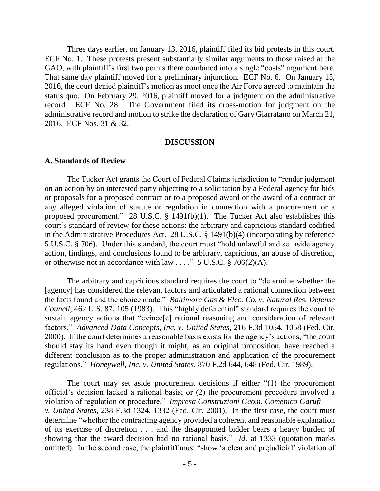Three days earlier, on January 13, 2016, plaintiff filed its bid protests in this court. ECF No. 1. These protests present substantially similar arguments to those raised at the GAO, with plaintiff's first two points there combined into a single "costs" argument here. That same day plaintiff moved for a preliminary injunction. ECF No. 6. On January 15, 2016, the court denied plaintiff's motion as moot once the Air Force agreed to maintain the status quo. On February 29, 2016, plaintiff moved for a judgment on the administrative record. ECF No. 28. The Government filed its cross-motion for judgment on the administrative record and motion to strike the declaration of Gary Giarratano on March 21, 2016. ECF Nos. 31 & 32.

#### **DISCUSSION**

#### **A. Standards of Review**

The Tucker Act grants the Court of Federal Claims jurisdiction to "render judgment on an action by an interested party objecting to a solicitation by a Federal agency for bids or proposals for a proposed contract or to a proposed award or the award of a contract or any alleged violation of statute or regulation in connection with a procurement or a proposed procurement." 28 U.S.C. § 1491(b)(1). The Tucker Act also establishes this court's standard of review for these actions: the arbitrary and capricious standard codified in the Administrative Procedures Act. 28 U.S.C. § 1491(b)(4) (incorporating by reference 5 U.S.C. § 706). Under this standard, the court must "hold unlawful and set aside agency action, findings, and conclusions found to be arbitrary, capricious, an abuse of discretion, or otherwise not in accordance with law . . . ."  $5 \text{ U.S.C.} \text{ § } 706(2)(\text{A})$ .

The arbitrary and capricious standard requires the court to "determine whether the [agency] has considered the relevant factors and articulated a rational connection between the facts found and the choice made." *Baltimore Gas & Elec. Co. v. Natural Res. Defense Council,* 462 U.S. 87, 105 (1983). This "highly deferential" standard requires the court to sustain agency actions that "evince[e] rational reasoning and consideration of relevant factors." *Advanced Data Concepts, Inc. v. United States,* 216 F.3d 1054, 1058 (Fed. Cir. 2000). If the court determines a reasonable basis exists for the agency's actions, "the court should stay its hand even though it might, as an original proposition, have reached a different conclusion as to the proper administration and application of the procurement regulations." *Honeywell, Inc. v. United States,* 870 F.2d 644, 648 (Fed. Cir. 1989).

 The court may set aside procurement decisions if either "(1) the procurement official's decision lacked a rational basis; or (2) the procurement procedure involved a violation of regulation or procedure." *Impresa Construzioni Geom. Comenico Garufi v. United States*, 238 F.3d 1324, 1332 (Fed. Cir. 2001). In the first case, the court must determine "whether the contracting agency provided a coherent and reasonable explanation of its exercise of discretion . . . and the disappointed bidder bears a heavy burden of showing that the award decision had no rational basis." *Id.* at 1333 (quotation marks omitted). In the second case, the plaintiff must "show 'a clear and prejudicial' violation of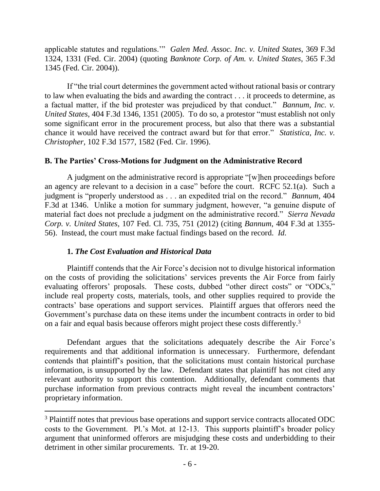applicable statutes and regulations.'" *Galen Med. Assoc. Inc. v. United States*, 369 F.3d 1324, 1331 (Fed. Cir. 2004) (quoting *Banknote Corp. of Am. v. United States*, 365 F.3d 1345 (Fed. Cir. 2004)).

If "the trial court determines the government acted without rational basis or contrary to law when evaluating the bids and awarding the contract . . . it proceeds to determine, as a factual matter, if the bid protester was prejudiced by that conduct." *Bannum, Inc. v. United States*, 404 F.3d 1346, 1351 (2005). To do so, a protestor "must establish not only some significant error in the procurement process, but also that there was a substantial chance it would have received the contract award but for that error." *Statistica, Inc. v. Christopher,* 102 F.3d 1577, 1582 (Fed. Cir. 1996).

### **B. The Parties' Cross-Motions for Judgment on the Administrative Record**

A judgment on the administrative record is appropriate "[w]hen proceedings before an agency are relevant to a decision in a case" before the court. RCFC 52.1(a). Such a judgment is "properly understood as . . . an expedited trial on the record." *Bannum*, 404 F.3d at 1346. Unlike a motion for summary judgment, however, "a genuine dispute of material fact does not preclude a judgment on the administrative record." *Sierra Nevada Corp. v. United States*, 107 Fed. Cl. 735, 751 (2012) (citing *Bannum*, 404 F.3d at 1355- 56). Instead, the court must make factual findings based on the record. *Id.*

### **1.** *The Cost Evaluation and Historical Data*

Plaintiff contends that the Air Force's decision not to divulge historical information on the costs of providing the solicitations' services prevents the Air Force from fairly evaluating offerors' proposals. These costs, dubbed "other direct costs" or "ODCs," include real property costs, materials, tools, and other supplies required to provide the contracts' base operations and support services. Plaintiff argues that offerors need the Government's purchase data on these items under the incumbent contracts in order to bid on a fair and equal basis because offerors might project these costs differently.<sup>3</sup>

Defendant argues that the solicitations adequately describe the Air Force's requirements and that additional information is unnecessary. Furthermore, defendant contends that plaintiff's position, that the solicitations must contain historical purchase information, is unsupported by the law. Defendant states that plaintiff has not cited any relevant authority to support this contention. Additionally, defendant comments that purchase information from previous contracts might reveal the incumbent contractors' proprietary information.

<sup>&</sup>lt;sup>3</sup> Plaintiff notes that previous base operations and support service contracts allocated ODC costs to the Government. Pl.'s Mot. at 12-13. This supports plaintiff's broader policy argument that uninformed offerors are misjudging these costs and underbidding to their detriment in other similar procurements. Tr. at 19-20.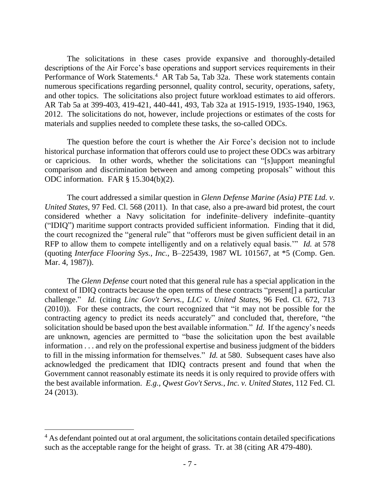The solicitations in these cases provide expansive and thoroughly-detailed descriptions of the Air Force's base operations and support services requirements in their Performance of Work Statements.<sup>4</sup> AR Tab 5a, Tab 32a. These work statements contain numerous specifications regarding personnel, quality control, security, operations, safety, and other topics. The solicitations also project future workload estimates to aid offerors. AR Tab 5a at 399-403, 419-421, 440-441, 493, Tab 32a at 1915-1919, 1935-1940, 1963, 2012. The solicitations do not, however, include projections or estimates of the costs for materials and supplies needed to complete these tasks, the so-called ODCs.

The question before the court is whether the Air Force's decision not to include historical purchase information that offerors could use to project these ODCs was arbitrary or capricious. In other words, whether the solicitations can "[s]upport meaningful comparison and discrimination between and among competing proposals" without this ODC information. FAR § 15.304(b)(2).

The court addressed a similar question in *Glenn Defense Marine (Asia) PTE Ltd. v. United States*, 97 Fed. Cl. 568 (2011). In that case, also a pre-award bid protest, the court considered whether a Navy solicitation for indefinite–delivery indefinite–quantity ("IDIQ") maritime support contracts provided sufficient information. Finding that it did, the court recognized the "general rule" that "offerors must be given sufficient detail in an RFP to allow them to compete intelligently and on a relatively equal basis.'" *Id.* at 578 (quoting *Interface Flooring Sys., Inc.*, B–225439, 1987 WL 101567, at \*5 (Comp. Gen. Mar. 4, 1987)).

The *Glenn Defense* court noted that this general rule has a special application in the context of IDIQ contracts because the open terms of these contracts "present[] a particular challenge." *Id.* (citing *Linc Gov't Servs., LLC v. United States,* 96 Fed. Cl. 672, 713 (2010)). For these contracts, the court recognized that "it may not be possible for the contracting agency to predict its needs accurately" and concluded that, therefore, "the solicitation should be based upon the best available information." *Id.* If the agency's needs are unknown, agencies are permitted to "base the solicitation upon the best available information . . . and rely on the professional expertise and business judgment of the bidders to fill in the missing information for themselves." *Id.* at 580. Subsequent cases have also acknowledged the predicament that IDIQ contracts present and found that when the Government cannot reasonably estimate its needs it is only required to provide offers with the best available information. *E.g., Qwest Gov't Servs., Inc. v. United States*, 112 Fed. Cl. 24 (2013).

 $\overline{a}$ 

<sup>&</sup>lt;sup>4</sup> As defendant pointed out at oral argument, the solicitations contain detailed specifications such as the acceptable range for the height of grass. Tr. at 38 (citing AR 479-480).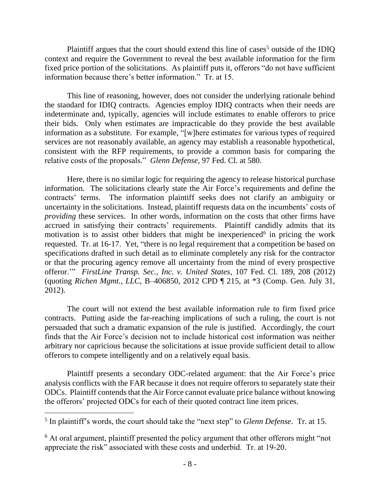Plaintiff argues that the court should extend this line of cases<sup>5</sup> outside of the IDIQ context and require the Government to reveal the best available information for the firm fixed price portion of the solicitations. As plaintiff puts it, offerors "do not have sufficient information because there's better information." Tr. at 15.

This line of reasoning, however, does not consider the underlying rationale behind the standard for IDIQ contracts. Agencies employ IDIQ contracts when their needs are indeterminate and, typically, agencies will include estimates to enable offerors to price their bids. Only when estimates are impracticable do they provide the best available information as a substitute. For example, "[w]here estimates for various types of required services are not reasonably available, an agency may establish a reasonable hypothetical, consistent with the RFP requirements, to provide a common basis for comparing the relative costs of the proposals." *Glenn Defense*, 97 Fed. Cl. at 580.

Here, there is no similar logic for requiring the agency to release historical purchase information. The solicitations clearly state the Air Force's requirements and define the contracts' terms. The information plaintiff seeks does not clarify an ambiguity or uncertainty in the solicitations. Instead, plaintiff requests data on the incumbents' costs of *providing* these services. In other words, information on the costs that other firms have accrued in satisfying their contracts' requirements. Plaintiff candidly admits that its motivation is to assist other bidders that might be inexperienced<sup>6</sup> in pricing the work requested. Tr. at 16-17. Yet, "there is no legal requirement that a competition be based on specifications drafted in such detail as to eliminate completely any risk for the contractor or that the procuring agency remove all uncertainty from the mind of every prospective offeror.'" *FirstLine Transp. Sec., Inc. v. United States*, 107 Fed. Cl. 189, 208 (2012) (quoting *Richen Mgmt., LLC,* B–406850, 2012 CPD ¶ 215, at \*3 (Comp. Gen. July 31, 2012).

The court will not extend the best available information rule to firm fixed price contracts. Putting aside the far-reaching implications of such a ruling, the court is not persuaded that such a dramatic expansion of the rule is justified. Accordingly, the court finds that the Air Force's decision not to include historical cost information was neither arbitrary nor capricious because the solicitations at issue provide sufficient detail to allow offerors to compete intelligently and on a relatively equal basis.

Plaintiff presents a secondary ODC-related argument: that the Air Force's price analysis conflicts with the FAR because it does not require offerors to separately state their ODCs. Plaintiff contends that the Air Force cannot evaluate price balance without knowing the offerors' projected ODCs for each of their quoted contract line item prices.

<sup>5</sup> In plaintiff's words, the court should take the "next step" to *Glenn Defense*. Tr. at 15.

<sup>6</sup> At oral argument, plaintiff presented the policy argument that other offerors might "not appreciate the risk" associated with these costs and underbid. Tr. at 19-20.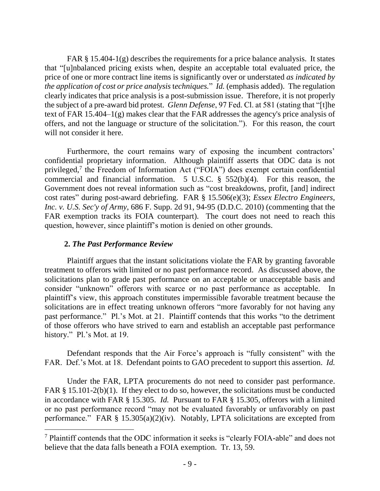FAR § 15.404-1(g) describes the requirements for a price balance analysis. It states that "[u]nbalanced pricing exists when, despite an acceptable total evaluated price, the price of one or more contract line items is significantly over or understated *as indicated by the application of cost or price analysis* t*echniques.*" *Id.* (emphasis added). The regulation clearly indicates that price analysis is a post-submission issue. Therefore, it is not properly the subject of a pre-award bid protest. *Glenn Defense*, 97 Fed. Cl. at 581 (stating that "[t]he text of FAR 15.404–1(g) makes clear that the FAR addresses the agency's price analysis of offers, and not the language or structure of the solicitation."). For this reason, the court will not consider it here.

Furthermore, the court remains wary of exposing the incumbent contractors' confidential proprietary information. Although plaintiff asserts that ODC data is not privileged,<sup>7</sup> the Freedom of Information Act ("FOIA") does exempt certain confidential commercial and financial information. 5 U.S.C. § 552(b)(4). For this reason, the Government does not reveal information such as "cost breakdowns, profit, [and] indirect cost rates" during post-award debriefing. FAR § 15.506(e)(3); *Essex Electro Engineers, Inc. v. U.S. Sec'y of Army*, 686 F. Supp. 2d 91, 94-95 (D.D.C. 2010) (commenting that the FAR exemption tracks its FOIA counterpart). The court does not need to reach this question, however, since plaintiff's motion is denied on other grounds.

### **2.** *The Past Performance Review*

 $\overline{a}$ 

Plaintiff argues that the instant solicitations violate the FAR by granting favorable treatment to offerors with limited or no past performance record. As discussed above, the solicitations plan to grade past performance on an acceptable or unacceptable basis and consider "unknown" offerors with scarce or no past performance as acceptable. In plaintiff's view, this approach constitutes impermissible favorable treatment because the solicitations are in effect treating unknown offerors "more favorably for not having any past performance." Pl.'s Mot. at 21. Plaintiff contends that this works "to the detriment of those offerors who have strived to earn and establish an acceptable past performance history." Pl.'s Mot. at 19.

Defendant responds that the Air Force's approach is "fully consistent" with the FAR. Def.'s Mot. at 18. Defendant points to GAO precedent to support this assertion. *Id.*

 Under the FAR, LPTA procurements do not need to consider past performance. FAR § 15.101-2(b)(1). If they elect to do so, however, the solicitations must be conducted in accordance with FAR § 15.305. *Id.* Pursuant to FAR § 15.305, offerors with a limited or no past performance record "may not be evaluated favorably or unfavorably on past performance." FAR § 15.305(a)(2)(iv). Notably, LPTA solicitations are excepted from

<sup>7</sup> Plaintiff contends that the ODC information it seeks is "clearly FOIA-able" and does not believe that the data falls beneath a FOIA exemption. Tr. 13, 59.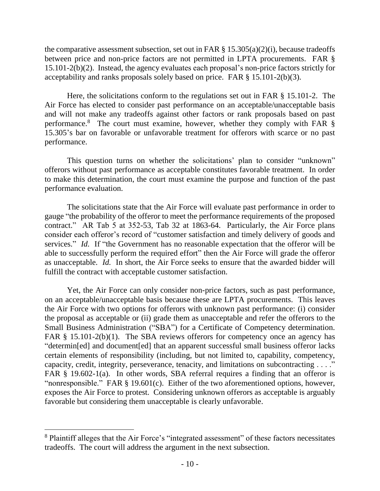the comparative assessment subsection, set out in FAR  $\S$  15.305(a)(2)(i), because tradeoffs between price and non-price factors are not permitted in LPTA procurements. FAR § 15.101-2(b)(2). Instead, the agency evaluates each proposal's non-price factors strictly for acceptability and ranks proposals solely based on price. FAR § 15.101-2(b)(3).

Here, the solicitations conform to the regulations set out in FAR § 15.101-2. The Air Force has elected to consider past performance on an acceptable/unacceptable basis and will not make any tradeoffs against other factors or rank proposals based on past performance.<sup>8</sup> The court must examine, however, whether they comply with FAR § 15.305's bar on favorable or unfavorable treatment for offerors with scarce or no past performance.

This question turns on whether the solicitations' plan to consider "unknown" offerors without past performance as acceptable constitutes favorable treatment. In order to make this determination, the court must examine the purpose and function of the past performance evaluation.

The solicitations state that the Air Force will evaluate past performance in order to gauge "the probability of the offeror to meet the performance requirements of the proposed contract." AR Tab 5 at 352-53, Tab 32 at 1863-64. Particularly, the Air Force plans consider each offeror's record of "customer satisfaction and timely delivery of goods and services." *Id.* If "the Government has no reasonable expectation that the offeror will be able to successfully perform the required effort" then the Air Force will grade the offeror as unacceptable. *Id.* In short, the Air Force seeks to ensure that the awarded bidder will fulfill the contract with acceptable customer satisfaction.

Yet, the Air Force can only consider non-price factors, such as past performance, on an acceptable/unacceptable basis because these are LPTA procurements. This leaves the Air Force with two options for offerors with unknown past performance: (i) consider the proposal as acceptable or (ii) grade them as unacceptable and refer the offerors to the Small Business Administration ("SBA") for a Certificate of Competency determination. FAR § 15.101-2(b)(1). The SBA reviews offerors for competency once an agency has "determin[ed] and document[ed] that an apparent successful small business offeror lacks certain elements of responsibility (including, but not limited to, capability, competency, capacity, credit, integrity, perseverance, tenacity, and limitations on subcontracting . . . ." FAR § 19.602-1(a). In other words, SBA referral requires a finding that an offeror is "nonresponsible." FAR § 19.601(c). Either of the two aforementioned options, however, exposes the Air Force to protest. Considering unknown offerors as acceptable is arguably favorable but considering them unacceptable is clearly unfavorable.

 $\overline{a}$ 

<sup>8</sup> Plaintiff alleges that the Air Force's "integrated assessment" of these factors necessitates tradeoffs. The court will address the argument in the next subsection.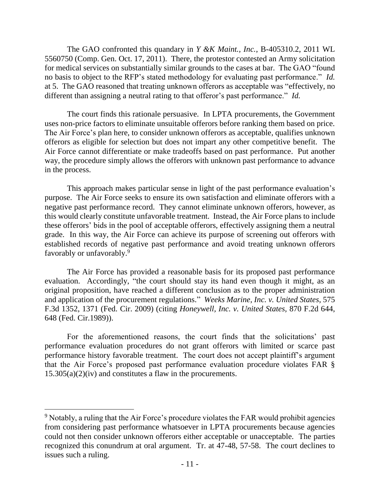The GAO confronted this quandary in *Y &K Maint., Inc.*, B-405310.2, 2011 WL 5560750 (Comp. Gen. Oct. 17, 2011). There, the protestor contested an Army solicitation for medical services on substantially similar grounds to the cases at bar. The GAO "found no basis to object to the RFP's stated methodology for evaluating past performance." *Id.*  at 5. The GAO reasoned that treating unknown offerors as acceptable was "effectively, no different than assigning a neutral rating to that offeror's past performance." *Id.*

 The court finds this rationale persuasive. In LPTA procurements, the Government uses non-price factors to eliminate unsuitable offerors before ranking them based on price. The Air Force's plan here, to consider unknown offerors as acceptable, qualifies unknown offerors as eligible for selection but does not impart any other competitive benefit. The Air Force cannot differentiate or make tradeoffs based on past performance. Put another way, the procedure simply allows the offerors with unknown past performance to advance in the process.

This approach makes particular sense in light of the past performance evaluation's purpose. The Air Force seeks to ensure its own satisfaction and eliminate offerors with a negative past performance record. They cannot eliminate unknown offerors, however, as this would clearly constitute unfavorable treatment. Instead, the Air Force plans to include these offerors' bids in the pool of acceptable offerors, effectively assigning them a neutral grade. In this way, the Air Force can achieve its purpose of screening out offerors with established records of negative past performance and avoid treating unknown offerors favorably or unfavorably.<sup>9</sup>

The Air Force has provided a reasonable basis for its proposed past performance evaluation. Accordingly, "the court should stay its hand even though it might, as an original proposition, have reached a different conclusion as to the proper administration and application of the procurement regulations." *Weeks Marine, Inc. v. United States*, 575 F.3d 1352, 1371 (Fed. Cir. 2009) (citing *Honeywell, Inc. v. United States,* 870 F.2d 644, 648 (Fed. Cir.1989)).

For the aforementioned reasons, the court finds that the solicitations' past performance evaluation procedures do not grant offerors with limited or scarce past performance history favorable treatment. The court does not accept plaintiff's argument that the Air Force's proposed past performance evaluation procedure violates FAR § 15.305(a)(2)(iv) and constitutes a flaw in the procurements.

<sup>9</sup> Notably, a ruling that the Air Force's procedure violates the FAR would prohibit agencies from considering past performance whatsoever in LPTA procurements because agencies could not then consider unknown offerors either acceptable or unacceptable. The parties recognized this conundrum at oral argument. Tr. at 47-48, 57-58. The court declines to issues such a ruling.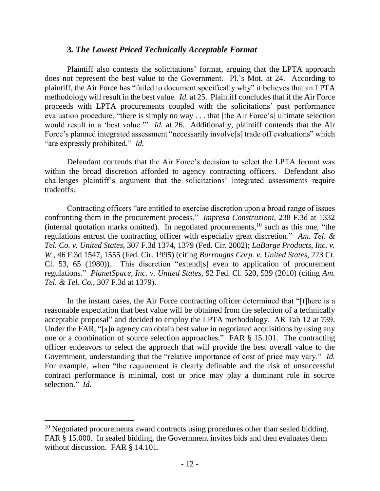### **3***. The Lowest Priced Technically Acceptable Format*

Plaintiff also contests the solicitations' format, arguing that the LPTA approach does not represent the best value to the Government. Pl.'s Mot. at 24. According to plaintiff, the Air Force has "failed to document specifically why" it believes that an LPTA methodology will result in the best value. *Id.* at 25. Plaintiff concludes that if the Air Force proceeds with LPTA procurements coupled with the solicitations' past performance evaluation procedure, "there is simply no way . . . that [the Air Force's] ultimate selection would result in a 'best value.'" *Id.* at 26. Additionally, plaintiff contends that the Air Force's planned integrated assessment "necessarily involve<sup>[s]</sup> trade off evaluations" which "are expressly prohibited." *Id.*

Defendant contends that the Air Force's decision to select the LPTA format was within the broad discretion afforded to agency contracting officers. Defendant also challenges plaintiff's argument that the solicitations' integrated assessments require tradeoffs.

Contracting officers "are entitled to exercise discretion upon a broad range of issues confronting them in the procurement process." *Impresa Construzioni,* 238 F.3d at 1332 (internal quotation marks omitted). In negotiated procurements, $10$  such as this one, "the regulations entrust the contracting officer with especially great discretion." *Am. Tel. & Tel. Co. v. United States*, 307 F.3d 1374, 1379 (Fed. Cir. 2002); *LaBarge Products, Inc. v. W.*, 46 F.3d 1547, 1555 (Fed. Cir. 1995) (citing *Burroughs Corp. v. United States,* 223 Ct. Cl. 53, 65 (1980)). This discretion "extend[s] even to application of procurement regulations." *PlanetSpace, Inc. v. United States,* 92 Fed. Cl. 520, 539 (2010) (citing *Am. Tel. & Tel. Co.*, 307 F.3d at 1379).

 In the instant cases, the Air Force contracting officer determined that "[t]here is a reasonable expectation that best value will be obtained from the selection of a technically acceptable proposal" and decided to employ the LPTA methodology. AR Tab 12 at 739. Under the FAR, "[a]n agency can obtain best value in negotiated acquisitions by using any one or a combination of source selection approaches." FAR § 15.101. The contracting officer endeavors to select the approach that will provide the best overall value to the Government, understanding that the "relative importance of cost of price may vary." *Id.* For example, when "the requirement is clearly definable and the risk of unsuccessful contract performance is minimal, cost or price may play a dominant role in source selection." *Id.*

<sup>&</sup>lt;sup>10</sup> Negotiated procurements award contracts using procedures other than sealed bidding. FAR § 15.000. In sealed bidding, the Government invites bids and then evaluates them without discussion. FAR § 14.101.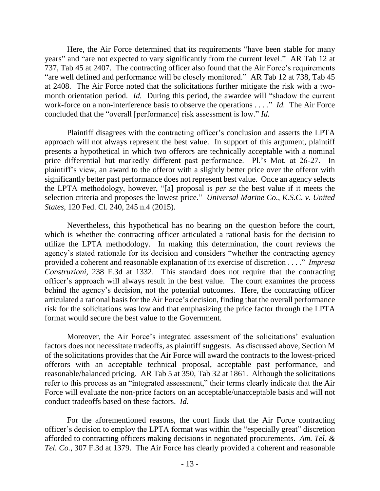Here, the Air Force determined that its requirements "have been stable for many years" and "are not expected to vary significantly from the current level." AR Tab 12 at 737, Tab 45 at 2407. The contracting officer also found that the Air Force's requirements "are well defined and performance will be closely monitored." AR Tab 12 at 738, Tab 45 at 2408. The Air Force noted that the solicitations further mitigate the risk with a twomonth orientation period. *Id.* During this period, the awardee will "shadow the current work-force on a non-interference basis to observe the operations . . . ." *Id.* The Air Force concluded that the "overall [performance] risk assessment is low." *Id.*

Plaintiff disagrees with the contracting officer's conclusion and asserts the LPTA approach will not always represent the best value. In support of this argument, plaintiff presents a hypothetical in which two offerors are technically acceptable with a nominal price differential but markedly different past performance. Pl.'s Mot. at 26-27. In plaintiff's view, an award to the offeror with a slightly better price over the offeror with significantly better past performance does not represent best value. Once an agency selects the LPTA methodology, however, "[a] proposal is *per se* the best value if it meets the selection criteria and proposes the lowest price." *Universal Marine Co., K.S.C. v. United States*, 120 Fed. Cl. 240, 245 n.4 (2015).

Nevertheless, this hypothetical has no bearing on the question before the court, which is whether the contracting officer articulated a rational basis for the decision to utilize the LPTA methodology. In making this determination, the court reviews the agency's stated rationale for its decision and considers "whether the contracting agency provided a coherent and reasonable explanation of its exercise of discretion . . . ." *Impresa Construzioni*, 238 F.3d at 1332. This standard does not require that the contracting officer's approach will always result in the best value. The court examines the process behind the agency's decision, not the potential outcomes. Here, the contracting officer articulated a rational basis for the Air Force's decision, finding that the overall performance risk for the solicitations was low and that emphasizing the price factor through the LPTA format would secure the best value to the Government.

Moreover, the Air Force's integrated assessment of the solicitations' evaluation factors does not necessitate tradeoffs, as plaintiff suggests. As discussed above, Section M of the solicitations provides that the Air Force will award the contracts to the lowest-priced offerors with an acceptable technical proposal, acceptable past performance, and reasonable/balanced pricing. AR Tab 5 at 350, Tab 32 at 1861. Although the solicitations refer to this process as an "integrated assessment," their terms clearly indicate that the Air Force will evaluate the non-price factors on an acceptable/unacceptable basis and will not conduct tradeoffs based on these factors. *Id.* 

For the aforementioned reasons, the court finds that the Air Force contracting officer's decision to employ the LPTA format was within the "especially great" discretion afforded to contracting officers making decisions in negotiated procurements. *Am. Tel. & Tel. Co.*, 307 F.3d at 1379. The Air Force has clearly provided a coherent and reasonable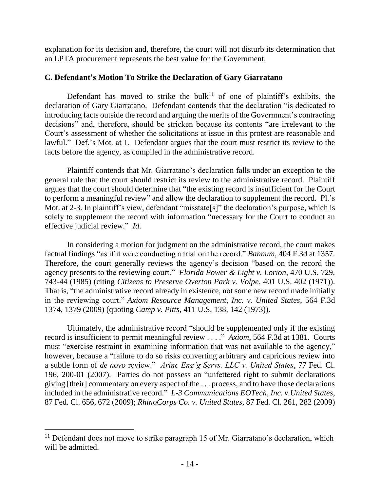explanation for its decision and, therefore, the court will not disturb its determination that an LPTA procurement represents the best value for the Government.

### **C. Defendant's Motion To Strike the Declaration of Gary Giarratano**

Defendant has moved to strike the bulk<sup>11</sup> of one of plaintiff's exhibits, the declaration of Gary Giarratano. Defendant contends that the declaration "is dedicated to introducing facts outside the record and arguing the merits of the Government's contracting decisions" and, therefore, should be stricken because its contents "are irrelevant to the Court's assessment of whether the solicitations at issue in this protest are reasonable and lawful." Def.'s Mot. at 1. Defendant argues that the court must restrict its review to the facts before the agency, as compiled in the administrative record.

 Plaintiff contends that Mr. Giarratano's declaration falls under an exception to the general rule that the court should restrict its review to the administrative record. Plaintiff argues that the court should determine that "the existing record is insufficient for the Court to perform a meaningful review" and allow the declaration to supplement the record. Pl.'s Mot. at 2-3. In plaintiff's view, defendant "misstate[s]" the declaration's purpose, which is solely to supplement the record with information "necessary for the Court to conduct an effective judicial review." *Id.*

 In considering a motion for judgment on the administrative record, the court makes factual findings "as if it were conducting a trial on the record." *Bannum*, 404 F.3d at 1357. Therefore, the court generally reviews the agency's decision "based on the record the agency presents to the reviewing court." *Florida Power & Light v. Lorion*, 470 U.S. 729, 743-44 (1985) (citing *Citizens to Preserve Overton Park v. Volpe*, 401 U.S. 402 (1971)). That is, "the administrative record already in existence, not some new record made initially in the reviewing court." *Axiom Resource Management, Inc. v. United States*, 564 F.3d 1374, 1379 (2009) (quoting *Camp v. Pitts*, 411 U.S. 138, 142 (1973)).

Ultimately, the administrative record "should be supplemented only if the existing record is insufficient to permit meaningful review . . . ." *Axiom*, 564 F.3d at 1381. Courts must "exercise restraint in examining information that was not available to the agency," however, because a "failure to do so risks converting arbitrary and capricious review into a subtle form of *de novo* review." *Arinc Eng'g Servs. LLC v. United States*, 77 Fed. Cl. 196, 200-01 (2007). Parties do not possess an "unfettered right to submit declarations giving [their] commentary on every aspect of the . . . process, and to have those declarations included in the administrative record." *L-3 Communications EOTech, Inc. v.United States*, 87 Fed. Cl. 656, 672 (2009); *RhinoCorps Co. v. United States,* 87 Fed. Cl. 261, 282 (2009)

 $\overline{a}$ 

<sup>&</sup>lt;sup>11</sup> Defendant does not move to strike paragraph 15 of Mr. Giarratano's declaration, which will be admitted.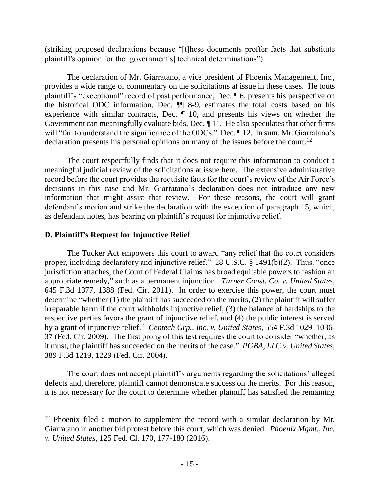(striking proposed declarations because "[t]hese documents proffer facts that substitute plaintiff's opinion for the [government's] technical determinations").

The declaration of Mr. Giarratano, a vice president of Phoenix Management, Inc., provides a wide range of commentary on the solicitations at issue in these cases. He touts plaintiff's "exceptional" record of past performance, Dec. ¶ 6, presents his perspective on the historical ODC information, Dec.  $\P\P$  8-9, estimates the total costs based on his experience with similar contracts, Dec. ¶ 10, and presents his views on whether the Government can meaningfully evaluate bids, Dec. ¶ 11. He also speculates that other firms will "fail to understand the significance of the ODCs." Dec.  $\P$ 12. In sum, Mr. Giarratano's declaration presents his personal opinions on many of the issues before the court.<sup>12</sup>

 The court respectfully finds that it does not require this information to conduct a meaningful judicial review of the solicitations at issue here. The extensive administrative record before the court provides the requisite facts for the court's review of the Air Force's decisions in this case and Mr. Giarratano's declaration does not introduce any new information that might assist that review. For these reasons, the court will grant defendant's motion and strike the declaration with the exception of paragraph 15, which, as defendant notes, has bearing on plaintiff's request for injunctive relief.

### **D. Plaintiff's Request for Injunctive Relief**

 The Tucker Act empowers this court to award "any relief that the court considers proper, including declaratory and injunctive relief." 28 U.S.C. § 1491(b)(2). Thus, "once jurisdiction attaches, the Court of Federal Claims has broad equitable powers to fashion an appropriate remedy," such as a permanent injunction. *Turner Const. Co. v. United States*, 645 F.3d 1377, 1388 (Fed. Cir. 2011). In order to exercise this power, the court must determine "whether (1) the plaintiff has succeeded on the merits, (2) the plaintiff will suffer irreparable harm if the court withholds injunctive relief, (3) the balance of hardships to the respective parties favors the grant of injunctive relief, and (4) the public interest is served by a grant of injunctive relief." *Centech Grp., Inc. v. United States*, 554 F.3d 1029, 1036- 37 (Fed. Cir. 2009). The first prong of this test requires the court to consider "whether, as it must, the plaintiff has succeeded on the merits of the case." *PGBA, LLC v. United States*, 389 F.3d 1219, 1229 (Fed. Cir. 2004).

The court does not accept plaintiff's arguments regarding the solicitations' alleged defects and, therefore, plaintiff cannot demonstrate success on the merits. For this reason, it is not necessary for the court to determine whether plaintiff has satisfied the remaining

<sup>&</sup>lt;sup>12</sup> Phoenix filed a motion to supplement the record with a similar declaration by Mr. Giarratano in another bid protest before this court, which was denied. *Phoenix Mgmt., Inc. v. United States*, 125 Fed. Cl. 170, 177-180 (2016).